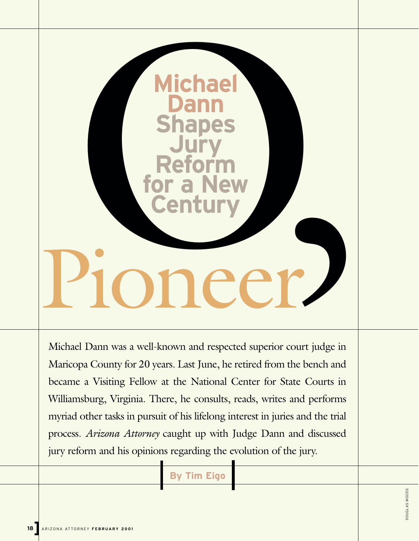

jury reform and his opinions regarding the evolution of the jury.

**By Tim Eigo**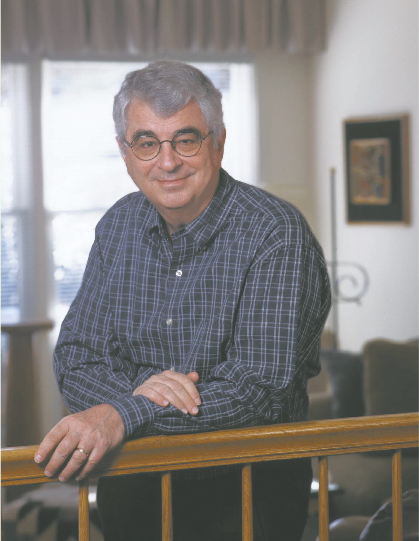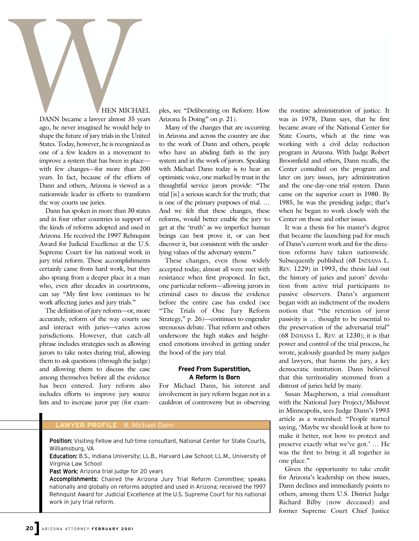HEN MICHAEL DANN became a lawyer almost 35 years ago, he never imagined he would help to shape the future of jury trials in the United States. Today, however, he is recognized as one of a few leaders in a movement to improve a system that has been in place with few changes—for more than 200 years. In fact, because of the efforts of Dann and others, Arizona is viewed as a nationwide leader in efforts to transform the way courts use juries.

Dann has spoken in more than 30 states and in four other countries in support of the kinds of reforms adopted and used in Arizona. He received the 1997 Rehnquist Award for Judicial Excellence at the U.S. Supreme Court for his national work in jury trial reform. These accomplishments certainly came from hard work, but they also sprang from a deeper place in a man who, even after decades in courtrooms, can say "My first love continues to be work affecting juries and jury trials."

The definition of jury reform—or, more accurately, reform of the way courts use and interact with juries—varies across jurisdictions. However, that catch-all phrase includes strategies such as allowing jurors to take notes during trial, allowing them to ask questions (through the judge) and allowing them to discuss the case among themselves before all the evidence has been entered. Jury reform also includes efforts to improve jury source lists and to increase juror pay (for examples, see "Deliberating on Reform: How Arizona Is Doing" on p. 21).

Many of the changes that are occurring in Arizona and across the country are due to the work of Dann and others, people who have an abiding faith in the jury system and in the work of jurors. Speaking with Michael Dann today is to hear an optimistic voice, one marked by trust in the thoughtful service jurors provide: "The trial [is] a serious search for the truth; that is one of the primary purposes of trial. … And we felt that these changes, these reforms, would better enable the jury to get at the 'truth' as we imperfect human beings can best prove it, or can best discover it, but consistent with the underlying values of the adversary system."

These changes, even those widely accepted today, almost all were met with resistance when first proposed. In fact, one particular reform—allowing jurors in criminal cases to discuss the evidence before the entire case has ended (see "The Trials of One Jury Reform Strategy," p. 26)—continues to engender strenuous debate. That reform and others underscore the high stakes and heightened emotions involved in getting under the hood of the jury trial.

## **Freed From Superstition, A Reform Is Born**

For Michael Dann, his interest and involvement in jury reform began not in a cauldron of controversy but in observing

#### **B. Michael Dann**

Position: Visiting Fellow and full-time consultant, National Center for State Courts, Williamsburg, VA

Education: B.S., Indiana University; LL.B., Harvard Law School; LL.M., University of Virginia Law School

Past Work: Arizona trial judge for 20 years

Accomplishments: Chaired the Arizona Jury Trial Reform Committee; speaks nationally and globally on reforms adopted and used in Arizona; received the 1997 Rehnquist Award for Judicial Excellence at the U.S. Supreme Court for his national work in jury trial reform.

the routine administration of justice. It was in 1978, Dann says, that he first became aware of the National Center for State Courts, which at the time was working with a civil delay reduction program in Arizona. With Judge Robert Broomfield and others, Dann recalls, the Center consulted on the program and later on jury issues, jury administration and the one-day–one-trial system. Dann came on the superior court in 1980. By 1985, he was the presiding judge; that's when he began to work closely with the Center on those and other issues.

It was a thesis for his master's degree that became the launching pad for much of Dann's current work and for the direction reforms have taken nationwide. Subsequently published (68 INDIANA L. REV. 1229) in 1993, the thesis laid out the history of juries and jurors' devolution from active trial participants to passive observers. Dann's argument began with an indictment of the modern notion that "the retention of juror passivity is … thought to be essential to the preservation of the adversarial trial" (68 INDIANA L. REV. at 1230); it is that power and control of the trial process, he wrote, jealously guarded by many judges and lawyers, that harms the jury, a key democratic institution. Dann believed that this territoriality stemmed from a distrust of juries held by many.

Susan Macpherson, a trial consultant with the National Jury Project/Midwest in Minneapolis, sees Judge Dann's 1993 article as a watershed: "People started saying, 'Maybe we should look at how to make it better, not how to protect and preserve exactly what we've got.' … He was the first to bring it all together in one place."

Given the opportunity to take credit for Arizona's leadership on these issues, Dann declines and immediately points to others, among them U.S. District Judge Richard Bilby (now deceased) and former Supreme Court Chief Justice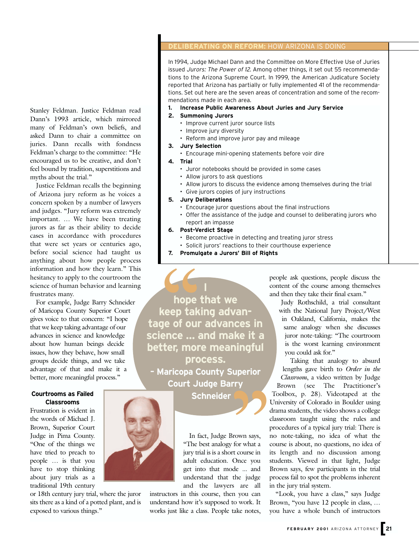### **DELIBERATING ON REFORM:** HOW ARIZONA IS DOING

In 1994, Judge Michael Dann and the Committee on More Effective Use of Juries issued Jurors: The Power of 12. Among other things, it set out 55 recommendations to the Arizona Supreme Court. In 1999, the American Judicature Society reported that Arizona has partially or fully implemented 41 of the recommendations. Set out here are the seven areas of concentration and some of the recommendations made in each area.

**1. Increase Public Awareness About Juries and Jury Service**

## **2. Summoning Jurors**

- Improve current juror source lists
- Improve jury diversity
- Reform and improve juror pay and mileage
- **3. Jury Selection**
	- Encourage mini-opening statements before voir dire

# **4. Trial**

- Juror notebooks should be provided in some cases
- Allow jurors to ask questions
- Allow jurors to discuss the evidence among themselves during the trial
- Give jurors copies of jury instructions
- **5. Jury Deliberations**
	- Encourage juror questions about the final instructions
	- Offer the assistance of the judge and counsel to deliberating jurors who report an impasse
- **6. Post-Verdict Stage**
	- Become proactive in detecting and treating juror stress
	- Solicit jurors' reactions to their courthouse experience
- **7. Promulgate a Jurors' Bill of Rights**

**hope that we keep taking advantage of our advances in science … and make it a better, more meaningful process. – Maricopa County Superior Court Judge Barry** Nope 1<br>
hope 1<br>
keep taki<br>
ge of our<br>
ience ... a<br>
tter mor

**Schneider**



or 18th century jury trial, where the juror sits there as a kind of a potted plant, and is exposed to various things."

Stanley Feldman. Justice Feldman read Dann's 1993 article, which mirrored many of Feldman's own beliefs, and asked Dann to chair a committee on juries. Dann recalls with fondness Feldman's charge to the committee: "He encouraged us to be creative, and don't feel bound by tradition, superstitions and

Justice Feldman recalls the beginning of Arizona jury reform as he voices a concern spoken by a number of lawyers and judges. "Jury reform was extremely important. … We have been treating jurors as far as their ability to decide cases in accordance with procedures that were set years or centuries ago, before social science had taught us anything about how people process information and how they learn." This hesitancy to apply to the courtroom the science of human behavior and learning

For example, Judge Barry Schneider of Maricopa County Superior Court gives voice to that concern: "I hope that we keep taking advantage of our advances in science and knowledge about how human beings decide issues, how they behave, how small groups decide things, and we take advantage of that and make it a better, more meaningful process."

myths about the trial."

frustrates many.

**Courtrooms as Failed Classrooms** Frustration is evident in the words of Michael J. Brown, Superior Court Judge in Pima County. "One of the things we have tried to preach to people … is that you have to stop thinking about jury trials as a traditional 19th century



instructors in this course, then you can understand how it's supposed to work. It works just like a class. People take notes, people ask questions, people discuss the content of the course among themselves and then they take their final exam."

Judy Rothschild, a trial consultant with the National Jury Project/West in Oakland, California, makes the same analogy when she discusses juror note-taking: "The courtroom is the worst learning environment you could ask for."

Taking that analogy to absurd lengths gave birth to *Order in the Classroom*, a video written by Judge Brown (see The Practitioner's Toolbox, p. 28). Videotaped at the University of Colorado in Boulder using drama students, the video shows a college classroom taught using the rules and procedures of a typical jury trial: There is no note-taking, no idea of what the course is about, no questions, no idea of its length and no discussion among students. Viewed in that light, Judge Brown says, few participants in the trial process fail to spot the problems inherent in the jury trial system.

"Look, you have a class," says Judge Brown, "you have 12 people in class, … you have a whole bunch of instructors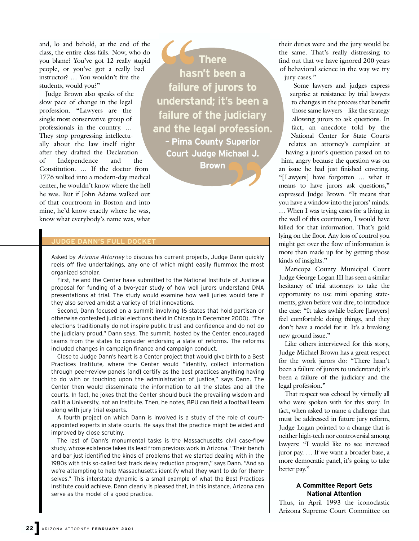and, lo and behold, at the end of the class, the entire class fails. Now, who do you blame? You've got 12 really stupid people, or you've got a really bad instructor? … You wouldn't fire the students, would you?"

Judge Brown also speaks of the slow pace of change in the legal profession. "Lawyers are the single most conservative group of professionals in the country. … They stop progressing intellectually about the law itself right after they drafted the Declaration of Independence and the Constitution. … If the doctor from 1776 walked into a modern-day medical center, he wouldn't know where the hell he was. But if John Adams walked out of that courtroom in Boston and into mine, he'd know exactly where he was, know what everybody's name was, what

**There hasn't been a failure of jurors to understand; it's been a failure of the judiciary and the legal profession. – Pima County Superior Court Judge Michael J. Brown** " "

### **JUDGE DANN'S FULL DOCKET**

Asked by Arizona Attorney to discuss his current projects, Judge Dann quickly reels off five undertakings, any one of which might easily flummox the most organized scholar.

First, he and the Center have submitted to the National Institute of Justice a proposal for funding of a two-year study of how well jurors understand DNA presentations at trial. The study would examine how well juries would fare if they also served amidst a variety of trial innovations.

Second, Dann focused on a summit involving 16 states that hold partisan or otherwise contested judicial elections (held in Chicago in December 2000). "The elections traditionally do not inspire public trust and confidence and do not do the judiciary proud," Dann says. The summit, hosted by the Center, encouraged teams from the states to consider endorsing a slate of reforms. The reforms included changes in campaign finance and campaign conduct.

Close to Judge Dann's heart is a Center project that would give birth to a Best Practices Institute, where the Center would "identify, collect information through peer-review panels [and] certify as the best practices anything having to do with or touching upon the administration of justice," says Dann. The Center then would disseminate the information to all the states and all the courts. In fact, he jokes that the Center should buck the prevailing wisdom and call it a University, not an Institute. Then, he notes, BPU can field a football team along with jury trial experts.

A fourth project on which Dann is involved is a study of the role of courtappointed experts in state courts. He says that the practice might be aided and improved by close scrutiny.

The last of Dann's monumental tasks is the Massachusetts civil case-flow study, whose existence takes its lead from previous work in Arizona. "Their bench and bar just identified the kinds of problems that we started dealing with in the 1980s with this so-called fast track delay reduction program," says Dann. "And so we're attempting to help Massachusetts identify what they want to do for themselves." This interstate dynamic is a small example of what the Best Practices Institute could achieve. Dann clearly is pleased that, in this instance, Arizona can serve as the model of a good practice.

their duties were and the jury would be the same. That's really distressing to find out that we have ignored 200 years of behavioral science in the way we try jury cases."

Some lawyers and judges express surprise at resistance by trial lawyers to changes in the process that benefit those same lawyers—like the strategy allowing jurors to ask questions. In fact, an anecdote told by the National Center for State Courts relates an attorney's complaint at having a juror's question passed on to him, angry because the question was on an issue he had just finished covering. "[Lawyers] have forgotten … what it means to have jurors ask questions," expressed Judge Brown. "It means that you have a window into the jurors' minds. … When I was trying cases for a living in the well of this courtroom, I would have killed for that information. That's gold lying on the floor. Any loss of control you might get over the flow of information is more than made up for by getting those kinds of insights."

Maricopa County Municipal Court Judge George Logan III has seen a similar hesitancy of trial attorneys to take the opportunity to use mini opening statements, given before voir dire, to introduce the case: "It takes awhile before [lawyers] feel comfortable doing things, and they don't have a model for it. It's a breaking new ground issue."

Like others interviewed for this story, Judge Michael Brown has a great respect for the work jurors do: "There hasn't been a failure of jurors to understand; it's been a failure of the judiciary and the legal profession."

That respect was echoed by virtually all who were spoken with for this story. In fact, when asked to name a challenge that must be addressed in future jury reform, Judge Logan pointed to a change that is neither high-tech nor controversial among lawyers: "I would like to see increased juror pay. … If we want a broader base, a more democratic panel, it's going to take better pay."

## **A Committee Report Gets National Attention**

Thus, in April 1993 the iconoclastic Arizona Supreme Court Committee on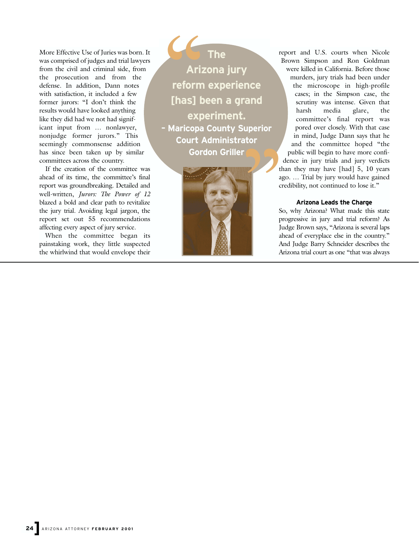More Effective Use of Juries was born. It was comprised of judges and trial lawyers from the civil and criminal side, from the prosecution and from the defense. In addition, Dann notes with satisfaction, it included a few former jurors: "I don't think the results would have looked anything like they did had we not had significant input from … nonlawyer, nonjudge former jurors." This seemingly commonsense addition has since been taken up by similar committees across the country.

If the creation of the committee was ahead of its time, the committee's final report was groundbreaking. Detailed and well-written, *Jurors: The Power of 12* blazed a bold and clear path to revitalize the jury trial. Avoiding legal jargon, the report set out 55 recommendations affecting every aspect of jury service.

When the committee began its painstaking work, they little suspected the whirlwind that would envelope their

**The Arizona jury reform experience [has] been a grand experiment. – Maricopa County Superior Court Administrator Gordon Griller** Ariz<br>
Ariz<br>
reform<br>
[has] b



report and U.S. courts when Nicole Brown Simpson and Ron Goldman were killed in California. Before those murders, jury trials had been under the microscope in high-profile cases; in the Simpson case, the scrutiny was intense. Given that harsh media glare, the committee's final report was pored over closely. With that case in mind, Judge Dann says that he and the committee hoped "the public will begin to have more confidence in jury trials and jury verdicts than they may have [had] 5, 10 years ago. … Trial by jury would have gained credibility, not continued to lose it."

## **Arizona Leads the Charge**

So, why Arizona? What made this state progressive in jury and trial reform? As Judge Brown says, "Arizona is several laps ahead of everyplace else in the country." And Judge Barry Schneider describes the Arizona trial court as one "that was always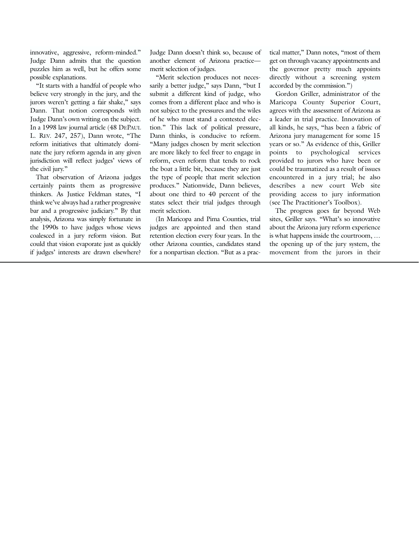innovative, aggressive, reform-minded." Judge Dann admits that the question puzzles him as well, but he offers some possible explanations.

"It starts with a handful of people who believe very strongly in the jury, and the jurors weren't getting a fair shake," says Dann. That notion corresponds with Judge Dann's own writing on the subject. In a 1998 law journal article (48 DEPAUL L. REV. 247, 257), Dann wrote, "The reform initiatives that ultimately dominate the jury reform agenda in any given jurisdiction will reflect judges' views of the civil jury."

That observation of Arizona judges certainly paints them as progressive thinkers. As Justice Feldman states, "I think we've always had a rather progressive bar and a progressive judiciary." By that analysis, Arizona was simply fortunate in the 1990s to have judges whose views coalesced in a jury reform vision. But could that vision evaporate just as quickly if judges' interests are drawn elsewhere? Judge Dann doesn't think so, because of another element of Arizona practice merit selection of judges.

"Merit selection produces not necessarily a better judge," says Dann, "but I submit a different kind of judge, who comes from a different place and who is not subject to the pressures and the wiles of he who must stand a contested election." This lack of political pressure, Dann thinks, is conducive to reform. "Many judges chosen by merit selection are more likely to feel freer to engage in reform, even reform that tends to rock the boat a little bit, because they are just the type of people that merit selection produces." Nationwide, Dann believes, about one third to 40 percent of the states select their trial judges through merit selection.

(In Maricopa and Pima Counties, trial judges are appointed and then stand retention election every four years. In the other Arizona counties, candidates stand for a nonpartisan election. "But as a practical matter," Dann notes, "most of them get on through vacancy appointments and the governor pretty much appoints directly without a screening system accorded by the commission.")

Gordon Griller, administrator of the Maricopa County Superior Court, agrees with the assessment of Arizona as a leader in trial practice. Innovation of all kinds, he says, "has been a fabric of Arizona jury management for some 15 years or so." As evidence of this, Griller points to psychological services provided to jurors who have been or could be traumatized as a result of issues encountered in a jury trial; he also describes a new court Web site providing access to jury information (see The Practitioner's Toolbox).

The progress goes far beyond Web sites, Griller says. "What's so innovative about the Arizona jury reform experience is what happens inside the courtroom, … the opening up of the jury system, the movement from the jurors in their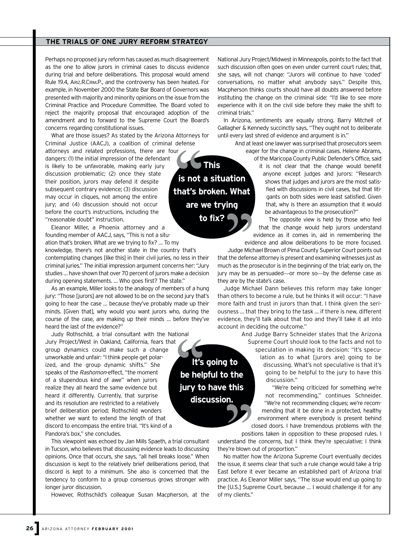# **THE TRIALS OF ONE JURY REFORM STRATEGY**

Perhaps no proposed jury reform has caused as much disagreement as the one to allow jurors in criminal cases to discuss evidence during trial and before deliberations. This proposal would amend Rule 19.4, ARIZ.R.CRIM.P., and the controversy has been heated. For example, in November 2000 the State Bar Board of Governors was presented with majority and minority opinions on the issue from the Criminal Practice and Procedure Committee. The Board voted to reject the majority proposal that encouraged adoption of the amendment and to forward to the Supreme Court the Board's concerns regarding constitutional issues.

What are those issues? As stated by the Arizona Attorneys for Criminal Justice (AACJ), a coalition of criminal defense

attorneys and related professions, there are four dangers: (1) the initial impression of the defendant is likely to be unfavorable, making early jury discussion problematic; (2) once they state their position, jurors may defend it despite subsequent contrary evidence; (3) discussion may occur in cliques, not among the entire jury; and (4) discussion should not occur before the court's instructions, including the "reasonable doubt" instruction.

Eleanor Miller, a Phoenix attorney and a founding member of AACJ, says, "This is not a situation that's broken. What are we trying to fix? … To my

knowledge, there's not another state in the country that's contemplating changes [like this] in their civil juries, no less in their criminal juries." The initial impression argument concerns her: "Jury studies … have shown that over 70 percent of jurors make a decision during opening statements. … Who goes first? The state."

As an example, Miller looks to the analogy of members of a hung jury: "Those [jurors] are not allowed to be on the second jury that's going to hear the case … because they've probably made up their minds. [Given that], why would you want jurors who, during the course of the case, are making up their minds … before they've heard the last of the evidence?"

Judy Rothschild, a trial consultant with the National Jury Project/West in Oakland, California, fears that group dynamics could make such a change unworkable and unfair: "I think people get polarized, and the group dynamic shifts." She speaks of the Rashomon-effect, "the moment of a stupendous kind of awe" when jurors realize they all heard the same evidence but heard it differently. Currently, that surprise and its resolution are restricted to a relatively brief deliberation period; Rothschild wonders whether we want to extend the length of that discord to encompass the entire trial. "It's kind of a Pandora's box," she concludes. **be helpful to the jury to have this**  t<br>
It's<br>
be help<br>
jury to

This viewpoint was echoed by Jan Mills Spaeth, a trial consultant in Tucson, who believes that discussing evidence leads to discussing opinions. Once that occurs, she says, "all hell breaks loose." When discussion is kept to the relatively brief deliberations period, that discord is kept to a minimum. She also is concerned that the tendency to conform to a group consensus grows stronger with longer juror discussion.

However, Rothschild's colleague Susan Macpherson, at the

National Jury Project/Midwest in Minneapolis, points to the fact that such discussion often goes on even under current court rules; that, she says, will not change: "Jurors will continue to have 'coded' conversations, no matter what anybody says." Despite this, Macpherson thinks courts should have all doubts answered before instituting the change on the criminal side: "I'd like to see more experience with it on the civil side before they make the shift to criminal trials."

In Arizona, sentiments are equally strong. Barry Mitchell of Gallagher & Kennedy succinctly says, "They ought not to deliberate until every last shred of evidence and argument is in."

> And at least one lawyer was surprised that prosecutors seem eager for the change in criminal cases. Helene Abrams, of the Maricopa County Public Defender's Office, said

it is not clear that the change would benefit anyone except judges and jurors: "Research shows that judges and jurors are the most satisfied with discussions in civil cases, but that litigants on both sides were least satisfied. Given that, why is there an assumption that it would be advantageous to the prosecution?"

The opposite view is held by those who feel that the change would help jurors understand evidence as it comes in, aid in remembering the evidence and allow deliberations to be more focused.

Judge Michael Brown of Pima County Superior Court points out that the defense attorney is present and examining witnesses just as be advantageous to the prosecution?"<br>
The opposite view is held by those who feel<br>
that the change would help jurors understand<br>
evidence as it comes in, aid in remembering the<br>
evidence and allow deliberations to be more jury may be as persuaded—or more so—by the defense case as they are by the state's case.

Judge Michael Dann believes this reform may take longer than others to become a rule, but he thinks it will occur: "I have more faith and trust in jurors than that. I think given the seriousness … that they bring to the task … if there is new, different evidence, they'll talk about that too and they'll take it all into account in deciding the outcome."

> And Judge Barry Schneider states that the Arizona Supreme Court should look to the facts and not to speculation in making its decision: "It's speculation as to what *fiurors* arel going to be discussing. What's not speculative is that it's going to be helpful to the jury to have this discussion."

> "We're being criticized for something we're not recommending," continues Schneider. "We're not recommending cliques; we're recommending that it be done in a protected, healthy environment where everybody is present behind closed doors. I have tremendous problems with the positions taken in opposition to these proposed rules. I

understand the concerns, but I think they're speculative; I think they're blown out of proportion." respectively<br>  $\frac{1}{2}$ <br>  $\frac{1}{2}$ <br>  $\frac{1}{2}$ <br>  $\frac{1}{2}$ <br>  $\frac{1}{2}$ <br>  $\frac{1}{2}$ <br>  $\frac{1}{2}$ <br>  $\frac{1}{2}$ <br>  $\frac{1}{2}$ <br>  $\frac{1}{2}$ <br>  $\frac{1}{2}$ <br>  $\frac{1}{2}$ <br>  $\frac{1}{2}$ <br>  $\frac{1}{2}$ <br>  $\frac{1}{2}$ <br>  $\frac{1}{2}$ <br>  $\frac{1}{2}$ <br>  $\frac{1}{2}$ <br>  $\frac{1}{2}$ <br>

No matter how the Arizona Supreme Court eventually decides the issue, it seems clear that such a rule change would take a trip East before it ever became an established part of Arizona trial practice. As Eleanor Miller says, "The issue would end up going to the [U.S.] Supreme Court, because … I would challenge it for any of my clients."

**This is not a situation that's broken. What are we trying to fix?** France is not a<br>that's brare w

**It's going to**

**discussion.**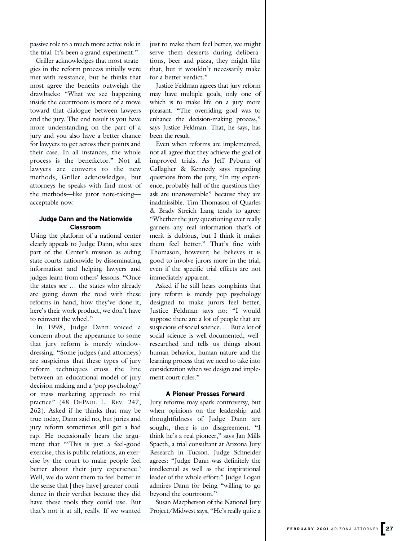passive role to a much more active role in the trial. It's been a grand experiment."

Griller acknowledges that most strategies in the reform process initially were met with resistance, but he thinks that most agree the benefits outweigh the drawbacks: "What we see happening inside the courtroom is more of a move toward that dialogue between lawyers and the jury. The end result is you have more understanding on the part of a jury and you also have a better chance for lawyers to get across their points and their case. In all instances, the whole process is the benefactor." Not all lawyers are converts to the new methods, Griller acknowledges, but attorneys he speaks with find most of the methods—like juror note-taking acceptable now.

# **Judge Dann and the Nationwide Classroom**

Using the platform of a national center clearly appeals to Judge Dann, who sees part of the Center's mission as aiding state courts nationwide by disseminating information and helping lawyers and judges learn from others' lessons. "Once the states see … the states who already are going down the road with these reforms in hand, how they've done it, here's their work product, we don't have to reinvent the wheel."

In 1998, Judge Dann voiced a concern about the appearance to some that jury reform is merely windowdressing: "Some judges (and attorneys) are suspicious that these types of jury reform techniques cross the line between an educational model of jury decision making and a 'pop psychology' or mass marketing approach to trial practice" (48 DEPAUL L. REV. 247, 262). Asked if he thinks that may be true today, Dann said no, but juries and jury reform sometimes still get a bad rap. He occasionally hears the argument that "'This is just a feel-good exercise, this is public relations, an exercise by the court to make people feel better about their jury experience.' Well, we do want them to feel better in the sense that [they have] greater confidence in their verdict because they did have these tools they could use. But that's not it at all, really. If we wanted just to make them feel better, we might serve them desserts during deliberations, beer and pizza, they might like that, but it wouldn't necessarily make for a better verdict."

Justice Feldman agrees that jury reform may have multiple goals, only one of which is to make life on a jury more pleasant. "The overriding goal was to enhance the decision-making process," says Justice Feldman. That, he says, has been the result.

Even when reforms are implemented, not all agree that they achieve the goal of improved trials. As Jeff Pyburn of Gallagher & Kennedy says regarding questions from the jury, "In my experience, probably half of the questions they ask are unanswerable" because they are inadmissible. Tim Thomason of Quarles & Brady Streich Lang tends to agree: "Whether the jury questioning ever really garners any real information that's of merit is dubious, but I think it makes them feel better." That's fine with Thomason, however; he believes it is good to involve jurors more in the trial, even if the specific trial effects are not immediately apparent.

Asked if he still hears complaints that jury reform is merely pop psychology designed to make jurors feel better, Justice Feldman says no: "I would suppose there are a lot of people that are suspicious of social science. … But a lot of social science is well-documented, wellresearched and tells us things about human behavior, human nature and the learning process that we need to take into consideration when we design and implement court rules."

## **A Pioneer Presses Forward**

Jury reforms may spark controversy, but when opinions on the leadership and thoughtfulness of Judge Dann are sought, there is no disagreement. "I think he's a real pioneer," says Jan Mills Spaeth, a trial consultant at Arizona Jury Research in Tucson. Judge Schneider agrees: "Judge Dann was definitely the intellectual as well as the inspirational leader of the whole effort." Judge Logan admires Dann for being "willing to go beyond the courtroom."

Susan Macpherson of the National Jury Project/Midwest says, "He's really quite a